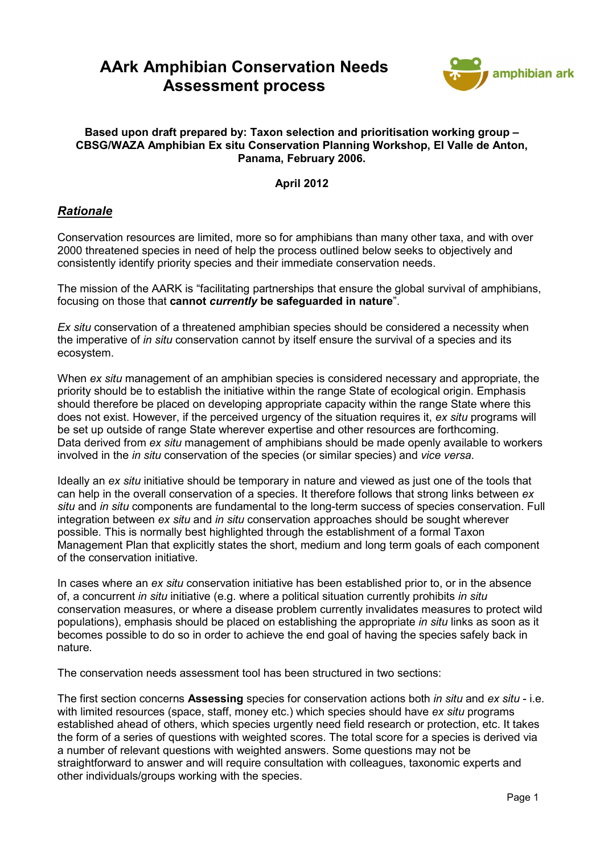# **AArk Amphibian Conservation Needs Assessment process**



# **Based upon draft prepared by: Taxon selection and prioritisation working group – CBSG/WAZA Amphibian Ex situ Conservation Planning Workshop, El Valle de Anton, Panama, February 2006.**

# **April 2012**

# *Rationale*

Conservation resources are limited, more so for amphibians than many other taxa, and with over 2000 threatened species in need of help the process outlined below seeks to objectively and consistently identify priority species and their immediate conservation needs.

The mission of the AARK is "facilitating partnerships that ensure the global survival of amphibians, focusing on those that **cannot** *currently* **be safeguarded in nature**".

*Ex situ* conservation of a threatened amphibian species should be considered a necessity when the imperative of *in situ* conservation cannot by itself ensure the survival of a species and its ecosystem.

When *ex situ* management of an amphibian species is considered necessary and appropriate, the priority should be to establish the initiative within the range State of ecological origin. Emphasis should therefore be placed on developing appropriate capacity within the range State where this does not exist. However, if the perceived urgency of the situation requires it, *ex situ* programs will be set up outside of range State wherever expertise and other resources are forthcoming. Data derived from *ex situ* management of amphibians should be made openly available to workers involved in the *in situ* conservation of the species (or similar species) and *vice versa*.

Ideally an *ex situ* initiative should be temporary in nature and viewed as just one of the tools that can help in the overall conservation of a species. It therefore follows that strong links between *ex situ* and *in situ* components are fundamental to the long-term success of species conservation. Full integration between *ex situ* and *in situ* conservation approaches should be sought wherever possible. This is normally best highlighted through the establishment of a formal Taxon Management Plan that explicitly states the short, medium and long term goals of each component of the conservation initiative.

In cases where an *ex situ* conservation initiative has been established prior to, or in the absence of, a concurrent *in situ* initiative (e.g. where a political situation currently prohibits *in situ* conservation measures, or where a disease problem currently invalidates measures to protect wild populations), emphasis should be placed on establishing the appropriate *in situ* links as soon as it becomes possible to do so in order to achieve the end goal of having the species safely back in nature.

The conservation needs assessment tool has been structured in two sections:

The first section concerns **Assessing** species for conservation actions both *in situ* and *ex situ* - i.e. with limited resources (space, staff, money etc.) which species should have *ex situ* programs established ahead of others, which species urgently need field research or protection, etc. It takes the form of a series of questions with weighted scores. The total score for a species is derived via a number of relevant questions with weighted answers. Some questions may not be straightforward to answer and will require consultation with colleagues, taxonomic experts and other individuals/groups working with the species.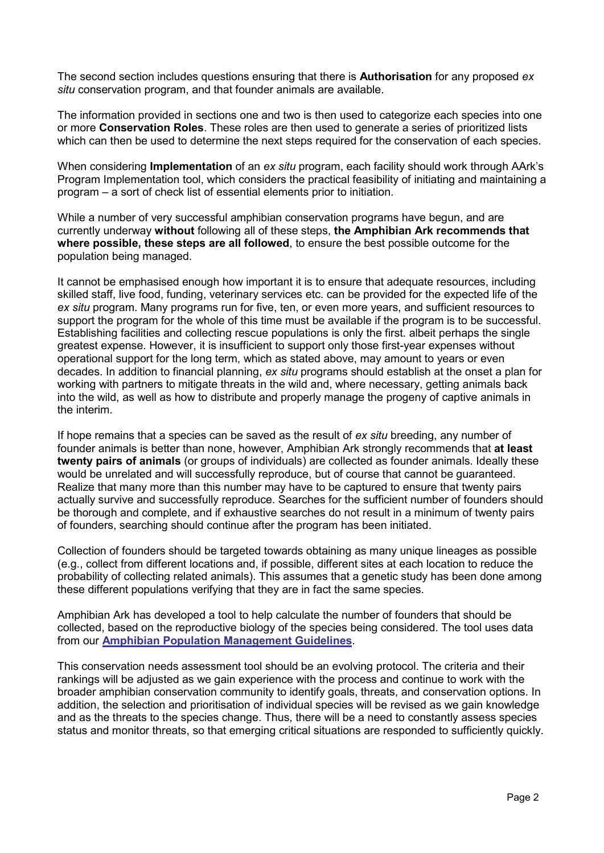The second section includes questions ensuring that there is **Authorisation** for any proposed *ex situ* conservation program, and that founder animals are available.

The information provided in sections one and two is then used to categorize each species into one or more **Conservation Roles**. These roles are then used to generate a series of prioritized lists which can then be used to determine the next steps required for the conservation of each species.

When considering **Implementation** of an *ex situ* program, each facility should work through AArk's Program Implementation tool, which considers the practical feasibility of initiating and maintaining a program – a sort of check list of essential elements prior to initiation.

While a number of very successful amphibian conservation programs have begun, and are currently underway **without** following all of these steps, **the Amphibian Ark recommends that where possible, these steps are all followed**, to ensure the best possible outcome for the population being managed.

It cannot be emphasised enough how important it is to ensure that adequate resources, including skilled staff, live food, funding, veterinary services etc. can be provided for the expected life of the *ex situ* program. Many programs run for five, ten, or even more years, and sufficient resources to support the program for the whole of this time must be available if the program is to be successful. Establishing facilities and collecting rescue populations is only the first. albeit perhaps the single greatest expense. However, it is insufficient to support only those first-year expenses without operational support for the long term, which as stated above, may amount to years or even decades. In addition to financial planning, *ex situ* programs should establish at the onset a plan for working with partners to mitigate threats in the wild and, where necessary, getting animals back into the wild, as well as how to distribute and properly manage the progeny of captive animals in the interim.

If hope remains that a species can be saved as the result of *ex situ* breeding, any number of founder animals is better than none, however, Amphibian Ark strongly recommends that **at least twenty pairs of animals** (or groups of individuals) are collected as founder animals. Ideally these would be unrelated and will successfully reproduce, but of course that cannot be guaranteed. Realize that many more than this number may have to be captured to ensure that twenty pairs actually survive and successfully reproduce. Searches for the sufficient number of founders should be thorough and complete, and if exhaustive searches do not result in a minimum of twenty pairs of founders, searching should continue after the program has been initiated.

Collection of founders should be targeted towards obtaining as many unique lineages as possible (e.g., collect from different locations and, if possible, different sites at each location to reduce the probability of collecting related animals). This assumes that a genetic study has been done among these different populations verifying that they are in fact the same species.

Amphibian Ark has developed a tool to help calculate the number of founders that should be collected, based on the reproductive biology of the species being considered. The tool uses data from our **Amphibian Population Management Guidelines**.

This conservation needs assessment tool should be an evolving protocol. The criteria and their rankings will be adjusted as we gain experience with the process and continue to work with the broader amphibian conservation community to identify goals, threats, and conservation options. In addition, the selection and prioritisation of individual species will be revised as we gain knowledge and as the threats to the species change. Thus, there will be a need to constantly assess species status and monitor threats, so that emerging critical situations are responded to sufficiently quickly.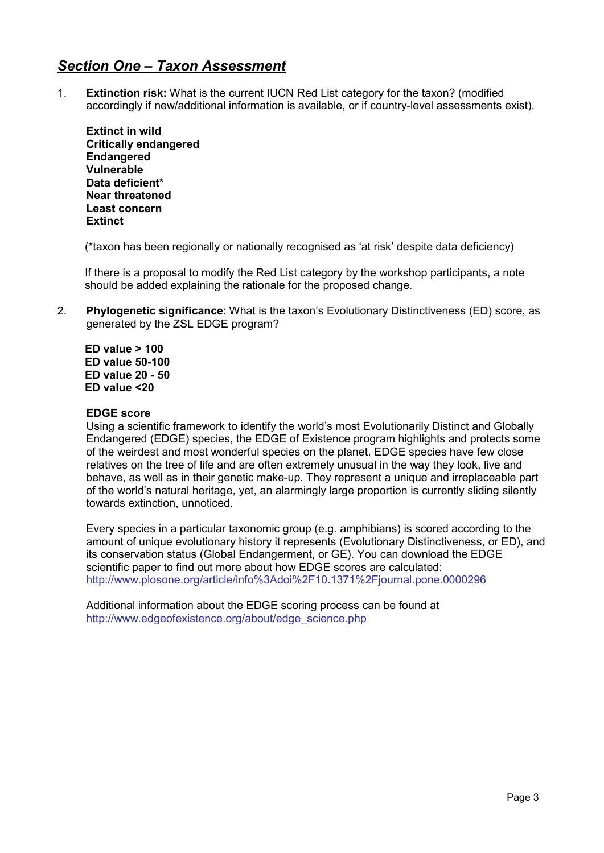# *Section One – Taxon Assessment*

1. **Extinction risk:** What is the current IUCN Red List category for the taxon? (modified accordingly if new/additional information is available, or if country-level assessments exist).

**Extinct in wild Critically endangered Endangered Vulnerable Data deficient\* Near threatened Least concern Extinct** 

(\*taxon has been regionally or nationally recognised as 'at risk' despite data deficiency)

If there is a proposal to modify the Red List category by the workshop participants, a note should be added explaining the rationale for the proposed change.

2. **Phylogenetic significance**: What is the taxon's Evolutionary Distinctiveness (ED) score, as generated by the ZSL EDGE program?

**ED value > 100 ED value 50-100 ED value 20 - 50 ED value <20** 

# **EDGE score**

Using a scientific framework to identify the world's most Evolutionarily Distinct and Globally Endangered (EDGE) species, the EDGE of Existence program highlights and protects some of the weirdest and most wonderful species on the planet. EDGE species have few close relatives on the tree of life and are often extremely unusual in the way they look, live and behave, as well as in their genetic make-up. They represent a unique and irreplaceable part of the world's natural heritage, yet, an alarmingly large proportion is currently sliding silently towards extinction, unnoticed.

Every species in a particular taxonomic group (e.g. amphibians) is scored according to the amount of unique evolutionary history it represents (Evolutionary Distinctiveness, or ED), and its conservation status (Global Endangerment, or GE). You can download the EDGE scientific paper to find out more about how EDGE scores are calculated: http://www.plosone.org/article/info%3Adoi%2F10.1371%2Fjournal.pone.0000296

Additional information about the EDGE scoring process can be found at http://www.edgeofexistence.org/about/edge\_science.php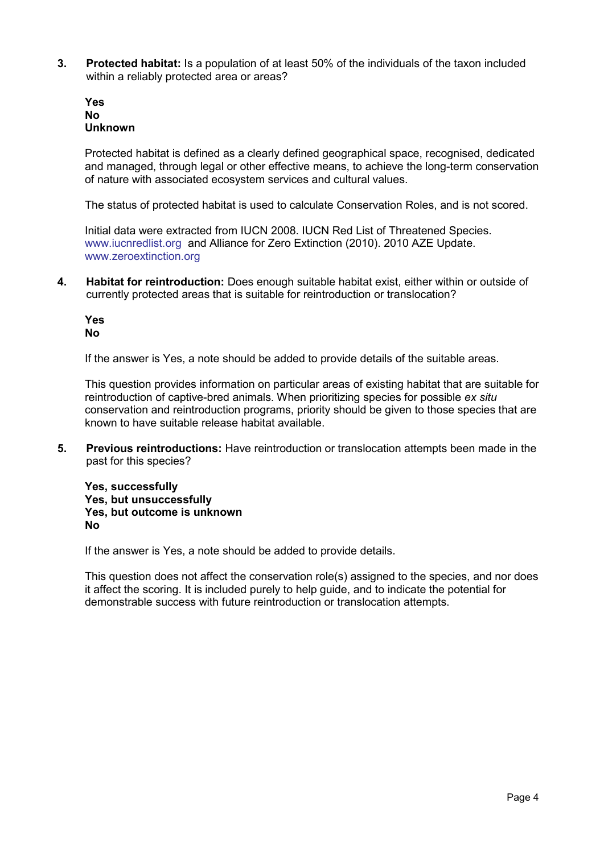**3. Protected habitat:** Is a population of at least 50% of the individuals of the taxon included within a reliably protected area or areas?

| Yes     |
|---------|
| No      |
| Unknown |

Protected habitat is defined as a clearly defined geographical space, recognised, dedicated and managed, through legal or other effective means, to achieve the long-term conservation of nature with associated ecosystem services and cultural values.

The status of protected habitat is used to calculate Conservation Roles, and is not scored.

Initial data were extracted from IUCN 2008. IUCN Red List of Threatened Species. www.iucnredlist.org and Alliance for Zero Extinction (2010). 2010 AZE Update. www.zeroextinction.org

**4. Habitat for reintroduction:** Does enough suitable habitat exist, either within or outside of currently protected areas that is suitable for reintroduction or translocation?

**Yes No** 

If the answer is Yes, a note should be added to provide details of the suitable areas.

This question provides information on particular areas of existing habitat that are suitable for reintroduction of captive-bred animals. When prioritizing species for possible *ex situ* conservation and reintroduction programs, priority should be given to those species that are known to have suitable release habitat available.

**5. Previous reintroductions:** Have reintroduction or translocation attempts been made in the past for this species?

**Yes, successfully Yes, but unsuccessfully Yes, but outcome is unknown No** 

If the answer is Yes, a note should be added to provide details.

This question does not affect the conservation role(s) assigned to the species, and nor does it affect the scoring. It is included purely to help guide, and to indicate the potential for demonstrable success with future reintroduction or translocation attempts.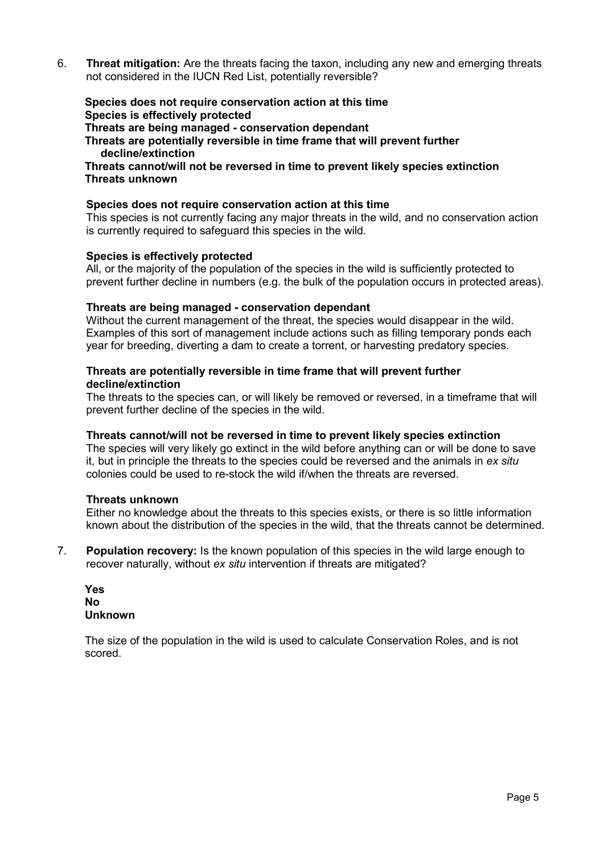6. **Threat mitigation:** Are the threats facing the taxon, including any new and emerging threats not considered in the IUCN Red List, potentially reversible?

**Species does not require conservation action at this time Species is effectively protected Threats are being managed - conservation dependant Threats are potentially reversible in time frame that will prevent further decline/extinction Threats cannot/will not be reversed in time to prevent likely species extinction** 

# **Species does not require conservation action at this time**

This species is not currently facing any major threats in the wild, and no conservation action is currently required to safeguard this species in the wild.

# **Species is effectively protected**

**Threats unknown** 

All, or the majority of the population of the species in the wild is sufficiently protected to prevent further decline in numbers (e.g. the bulk of the population occurs in protected areas).

# **Threats are being managed - conservation dependant**

Without the current management of the threat, the species would disappear in the wild. Examples of this sort of management include actions such as filling temporary ponds each year for breeding, diverting a dam to create a torrent, or harvesting predatory species.

# **Threats are potentially reversible in time frame that will prevent further decline/extinction**

The threats to the species can, or will likely be removed or reversed, in a timeframe that will prevent further decline of the species in the wild.

# **Threats cannot/will not be reversed in time to prevent likely species extinction**

The species will very likely go extinct in the wild before anything can or will be done to save it, but in principle the threats to the species could be reversed and the animals in *ex situ*  colonies could be used to re-stock the wild if/when the threats are reversed.

# **Threats unknown**

Either no knowledge about the threats to this species exists, or there is so little information known about the distribution of the species in the wild, that the threats cannot be determined.

7. **Population recovery:** Is the known population of this species in the wild large enough to recover naturally, without *ex situ* intervention if threats are mitigated?

**Yes No Unknown** 

The size of the population in the wild is used to calculate Conservation Roles, and is not scored.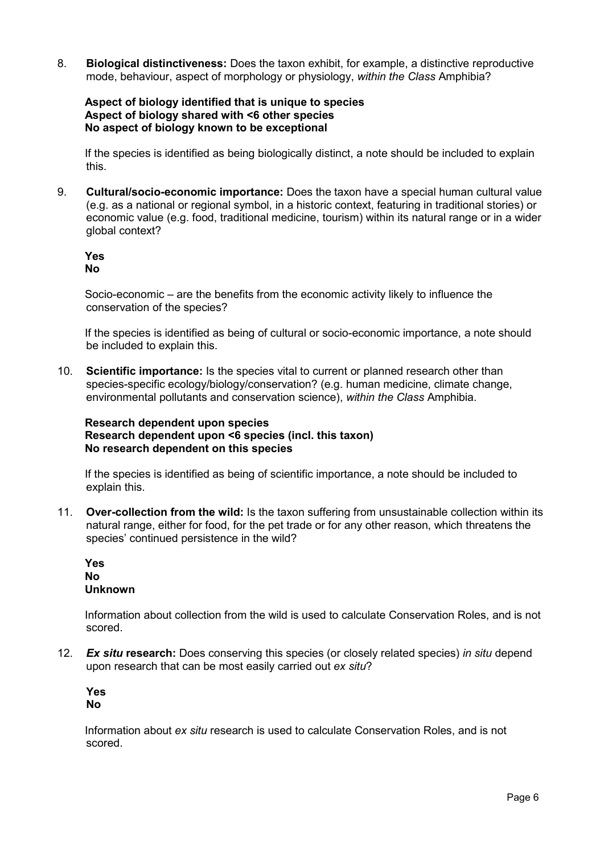8. **Biological distinctiveness:** Does the taxon exhibit, for example, a distinctive reproductive mode, behaviour, aspect of morphology or physiology, *within the Class* Amphibia?

# **Aspect of biology identified that is unique to species Aspect of biology shared with <6 other species No aspect of biology known to be exceptional**

If the species is identified as being biologically distinct, a note should be included to explain this.

9. **Cultural/socio-economic importance:** Does the taxon have a special human cultural value (e.g. as a national or regional symbol, in a historic context, featuring in traditional stories) or economic value (e.g. food, traditional medicine, tourism) within its natural range or in a wider global context?

#### **Yes No**

Socio-economic – are the benefits from the economic activity likely to influence the conservation of the species?

If the species is identified as being of cultural or socio-economic importance, a note should be included to explain this.

10. **Scientific importance:** Is the species vital to current or planned research other than species-specific ecology/biology/conservation? (e.g. human medicine, climate change, environmental pollutants and conservation science), *within the Class* Amphibia.

# **Research dependent upon species Research dependent upon <6 species (incl. this taxon) No research dependent on this species**

If the species is identified as being of scientific importance, a note should be included to explain this.

11. **Over-collection from the wild:** Is the taxon suffering from unsustainable collection within its natural range, either for food, for the pet trade or for any other reason, which threatens the species' continued persistence in the wild?

| Yes     |
|---------|
| No      |
| Unknown |

Information about collection from the wild is used to calculate Conservation Roles, and is not scored.

12. *Ex situ* **research:** Does conserving this species (or closely related species) *in situ* depend upon research that can be most easily carried out *ex situ*?

 **Yes No** 

Information about *ex situ* research is used to calculate Conservation Roles, and is not scored.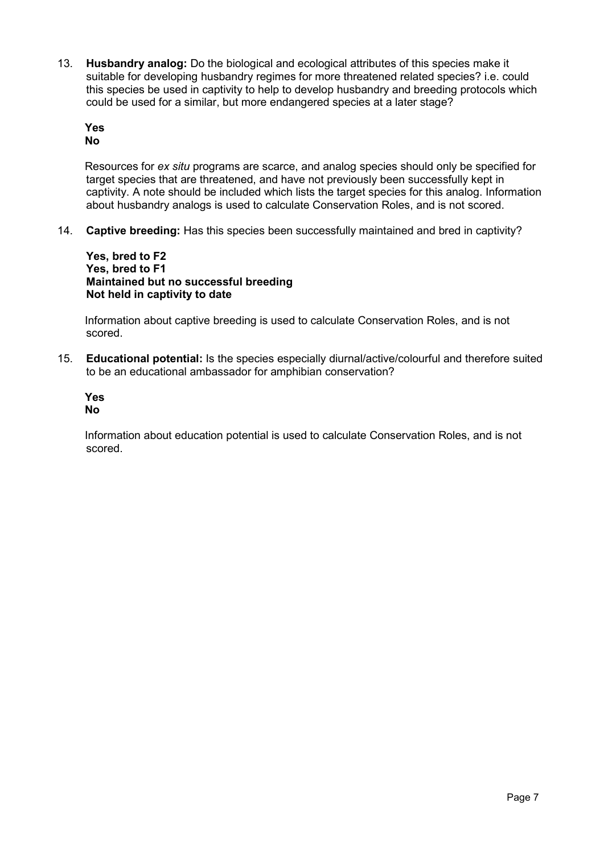13. **Husbandry analog:** Do the biological and ecological attributes of this species make it suitable for developing husbandry regimes for more threatened related species? i.e. could this species be used in captivity to help to develop husbandry and breeding protocols which could be used for a similar, but more endangered species at a later stage?

**Yes No** 

Resources for *ex situ* programs are scarce, and analog species should only be specified for target species that are threatened, and have not previously been successfully kept in captivity. A note should be included which lists the target species for this analog. Information about husbandry analogs is used to calculate Conservation Roles, and is not scored.

14. **Captive breeding:** Has this species been successfully maintained and bred in captivity?

 **Yes, bred to F2 Yes, bred to F1 Maintained but no successful breeding Not held in captivity to date** 

Information about captive breeding is used to calculate Conservation Roles, and is not scored.

15. **Educational potential:** Is the species especially diurnal/active/colourful and therefore suited to be an educational ambassador for amphibian conservation?

# **Yes No**

Information about education potential is used to calculate Conservation Roles, and is not scored.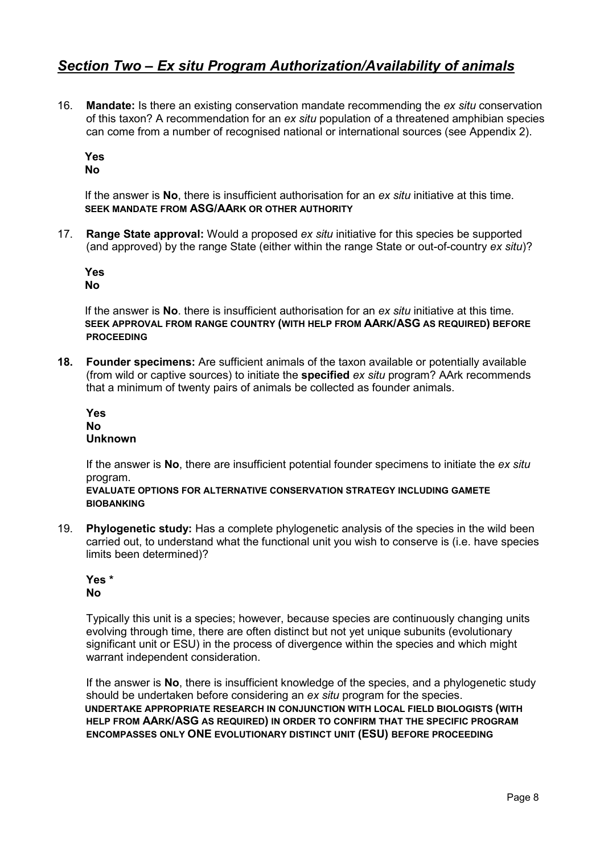# *Section Two – Ex situ Program Authorization/Availability of animals*

16. **Mandate:** Is there an existing conservation mandate recommending the *ex situ* conservation of this taxon? A recommendation for an *ex situ* population of a threatened amphibian species can come from a number of recognised national or international sources (see Appendix 2).

### **Yes No**

If the answer is **No**, there is insufficient authorisation for an *ex situ* initiative at this time. **SEEK MANDATE FROM ASG/AARK OR OTHER AUTHORITY**

17. **Range State approval:** Would a proposed *ex situ* initiative for this species be supported (and approved) by the range State (either within the range State or out-of-country *ex situ*)?

#### **Yes No**

If the answer is **No**. there is insufficient authorisation for an *ex situ* initiative at this time. **SEEK APPROVAL FROM RANGE COUNTRY (WITH HELP FROM AARK/ASG AS REQUIRED) BEFORE PROCEEDING**

**18. Founder specimens:** Are sufficient animals of the taxon available or potentially available (from wild or captive sources) to initiate the **specified** *ex situ* program? AArk recommends that a minimum of twenty pairs of animals be collected as founder animals.

# **Yes No Unknown**

If the answer is **No**, there are insufficient potential founder specimens to initiate the *ex situ* program.

**EVALUATE OPTIONS FOR ALTERNATIVE CONSERVATION STRATEGY INCLUDING GAMETE BIOBANKING**

19. **Phylogenetic study:** Has a complete phylogenetic analysis of the species in the wild been carried out, to understand what the functional unit you wish to conserve is (i.e. have species limits been determined)?

# **Yes \* No**

Typically this unit is a species; however, because species are continuously changing units evolving through time, there are often distinct but not yet unique subunits (evolutionary significant unit or ESU) in the process of divergence within the species and which might warrant independent consideration.

If the answer is **No**, there is insufficient knowledge of the species, and a phylogenetic study should be undertaken before considering an *ex situ* program for the species. **UNDERTAKE APPROPRIATE RESEARCH IN CONJUNCTION WITH LOCAL FIELD BIOLOGISTS (WITH HELP FROM AARK/ASG AS REQUIRED) IN ORDER TO CONFIRM THAT THE SPECIFIC PROGRAM ENCOMPASSES ONLY ONE EVOLUTIONARY DISTINCT UNIT (ESU) BEFORE PROCEEDING**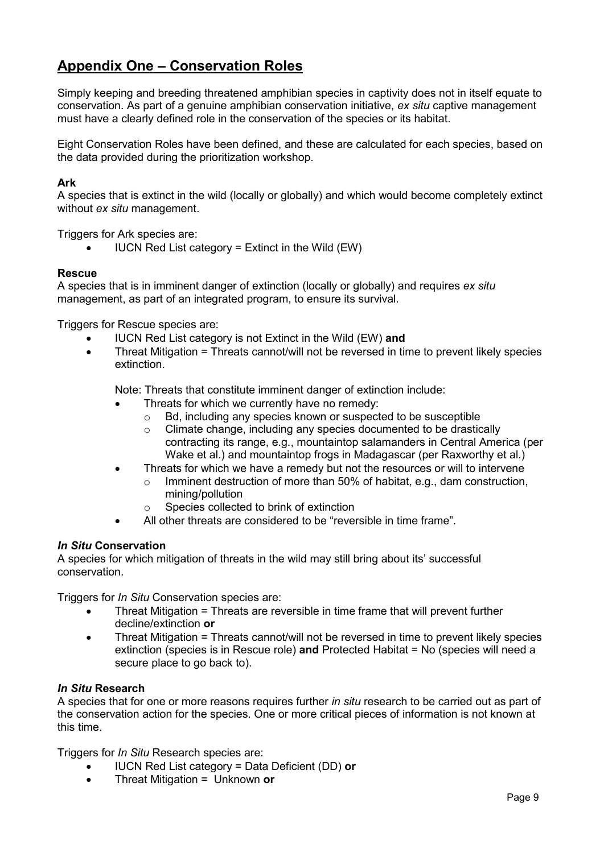# **Appendix One – Conservation Roles**

Simply keeping and breeding threatened amphibian species in captivity does not in itself equate to conservation. As part of a genuine amphibian conservation initiative, *ex situ* captive management must have a clearly defined role in the conservation of the species or its habitat.

Eight Conservation Roles have been defined, and these are calculated for each species, based on the data provided during the prioritization workshop.

# **Ark**

A species that is extinct in the wild (locally or globally) and which would become completely extinct without *ex situ* management.

Triggers for Ark species are:

 $\bullet$  IUCN Red List category = Extinct in the Wild (EW)

# **Rescue**

A species that is in imminent danger of extinction (locally or globally) and requires *ex situ* management, as part of an integrated program, to ensure its survival.

Triggers for Rescue species are:

- IUCN Red List category is not Extinct in the Wild (EW) **and**
- Threat Mitigation = Threats cannot/will not be reversed in time to prevent likely species extinction.

Note: Threats that constitute imminent danger of extinction include:

- Threats for which we currently have no remedy:
	- o Bd, including any species known or suspected to be susceptible
	- o Climate change, including any species documented to be drastically contracting its range, e.g., mountaintop salamanders in Central America (per Wake et al.) and mountaintop frogs in Madagascar (per Raxworthy et al.)
- Threats for which we have a remedy but not the resources or will to intervene
	- o Imminent destruction of more than 50% of habitat, e.g., dam construction, mining/pollution
	- o Species collected to brink of extinction
- All other threats are considered to be "reversible in time frame".

# *In Situ* **Conservation**

A species for which mitigation of threats in the wild may still bring about its' successful conservation.

Triggers for *In Situ* Conservation species are:

- Threat Mitigation = Threats are reversible in time frame that will prevent further decline/extinction **or**
- Threat Mitigation = Threats cannot/will not be reversed in time to prevent likely species extinction (species is in Rescue role) **and** Protected Habitat = No (species will need a secure place to go back to).

# *In Situ* **Research**

A species that for one or more reasons requires further *in situ* research to be carried out as part of the conservation action for the species. One or more critical pieces of information is not known at this time.

Triggers for *In Situ* Research species are:

- IUCN Red List category = Data Deficient (DD) **or**
- Threat Mitigation = Unknown **or**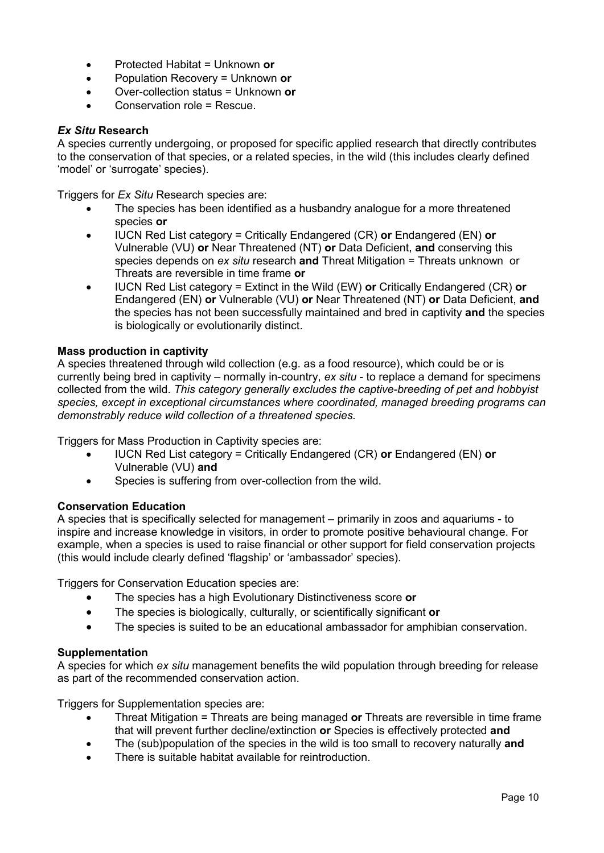- Protected Habitat = Unknown **or**
- Population Recovery = Unknown **or**
- Over-collection status = Unknown **or**
- Conservation role = Rescue.

# *Ex Situ* **Research**

A species currently undergoing, or proposed for specific applied research that directly contributes to the conservation of that species, or a related species, in the wild (this includes clearly defined 'model' or 'surrogate' species).

Triggers for *Ex Situ* Research species are:

- The species has been identified as a husbandry analogue for a more threatened species **or**
- IUCN Red List category = Critically Endangered (CR) **or** Endangered (EN) **or** Vulnerable (VU) **or** Near Threatened (NT) **or** Data Deficient, **and** conserving this species depends on *ex situ* research **and** Threat Mitigation = Threats unknown or Threats are reversible in time frame **or**
- IUCN Red List category = Extinct in the Wild (EW) **or** Critically Endangered (CR) **or** Endangered (EN) **or** Vulnerable (VU) **or** Near Threatened (NT) **or** Data Deficient, **and** the species has not been successfully maintained and bred in captivity **and** the species is biologically or evolutionarily distinct.

# **Mass production in captivity**

A species threatened through wild collection (e.g. as a food resource), which could be or is currently being bred in captivity – normally in-country, *ex situ* - to replace a demand for specimens collected from the wild. *This category generally excludes the captive-breeding of pet and hobbyist species, except in exceptional circumstances where coordinated, managed breeding programs can demonstrably reduce wild collection of a threatened species.* 

Triggers for Mass Production in Captivity species are:

- IUCN Red List category = Critically Endangered (CR) **or** Endangered (EN) **or** Vulnerable (VU) **and**
- Species is suffering from over-collection from the wild.

# **Conservation Education**

A species that is specifically selected for management – primarily in zoos and aquariums - to inspire and increase knowledge in visitors, in order to promote positive behavioural change. For example, when a species is used to raise financial or other support for field conservation projects (this would include clearly defined 'flagship' or 'ambassador' species).

Triggers for Conservation Education species are:

- The species has a high Evolutionary Distinctiveness score **or**
- The species is biologically, culturally, or scientifically significant **or**
- The species is suited to be an educational ambassador for amphibian conservation.

# **Supplementation**

A species for which *ex situ* management benefits the wild population through breeding for release as part of the recommended conservation action.

Triggers for Supplementation species are:

- Threat Mitigation = Threats are being managed **or** Threats are reversible in time frame that will prevent further decline/extinction **or** Species is effectively protected **and**
- The (sub)population of the species in the wild is too small to recovery naturally **and**
- There is suitable habitat available for reintroduction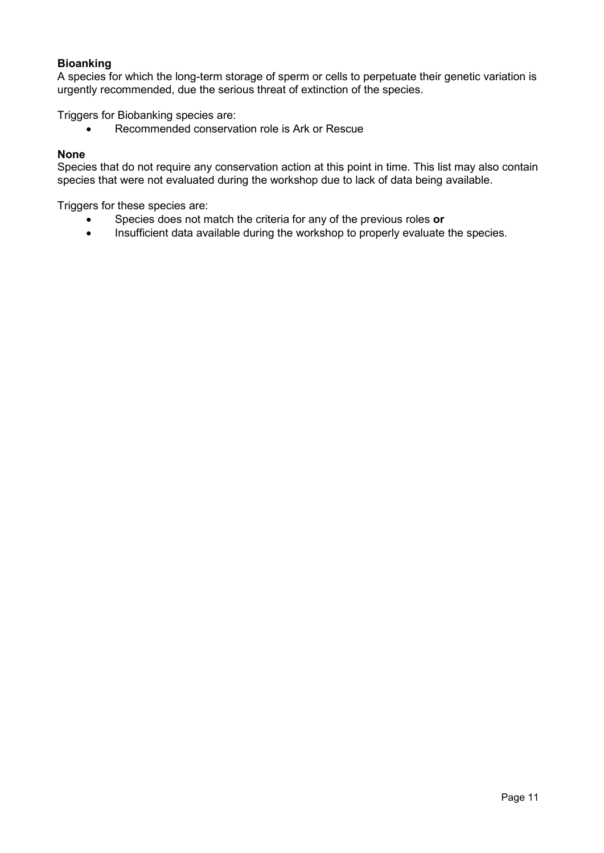# **Bioanking**

A species for which the long-term storage of sperm or cells to perpetuate their genetic variation is urgently recommended, due the serious threat of extinction of the species.

Triggers for Biobanking species are:

• Recommended conservation role is Ark or Rescue

# **None**

Species that do not require any conservation action at this point in time. This list may also contain species that were not evaluated during the workshop due to lack of data being available.

Triggers for these species are:

- Species does not match the criteria for any of the previous roles **or**
- Insufficient data available during the workshop to properly evaluate the species.